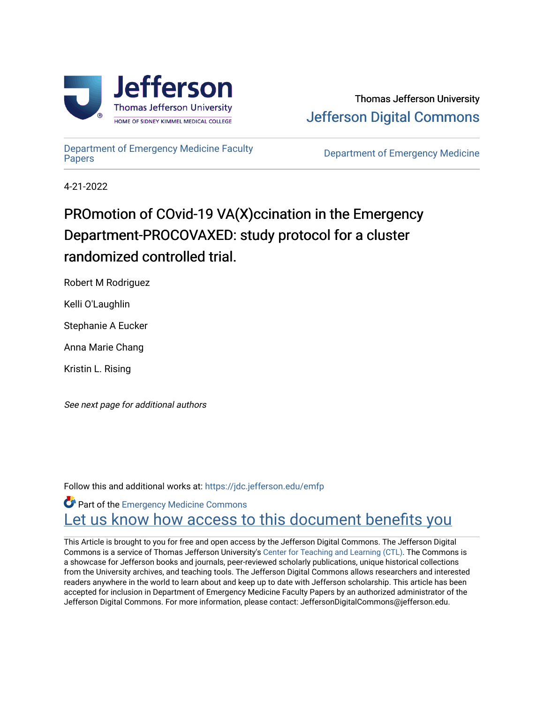

Thomas Jefferson University [Jefferson Digital Commons](https://jdc.jefferson.edu/) 

[Department of Emergency Medicine Faculty](https://jdc.jefferson.edu/emfp)

**Department of Emergency Medicine** 

4-21-2022

# PROmotion of COvid-19 VA(X)ccination in the Emergency Department-PROCOVAXED: study protocol for a cluster randomized controlled trial.

Robert M Rodriguez

Kelli O'Laughlin

Stephanie A Eucker

Anna Marie Chang

Kristin L. Rising

See next page for additional authors

Follow this and additional works at: [https://jdc.jefferson.edu/emfp](https://jdc.jefferson.edu/emfp?utm_source=jdc.jefferson.edu%2Femfp%2F200&utm_medium=PDF&utm_campaign=PDFCoverPages)

**Part of the [Emergency Medicine Commons](https://network.bepress.com/hgg/discipline/685?utm_source=jdc.jefferson.edu%2Femfp%2F200&utm_medium=PDF&utm_campaign=PDFCoverPages)** Let us know how access to this document benefits you

This Article is brought to you for free and open access by the Jefferson Digital Commons. The Jefferson Digital Commons is a service of Thomas Jefferson University's [Center for Teaching and Learning \(CTL\)](http://www.jefferson.edu/university/teaching-learning.html/). The Commons is a showcase for Jefferson books and journals, peer-reviewed scholarly publications, unique historical collections from the University archives, and teaching tools. The Jefferson Digital Commons allows researchers and interested readers anywhere in the world to learn about and keep up to date with Jefferson scholarship. This article has been accepted for inclusion in Department of Emergency Medicine Faculty Papers by an authorized administrator of the Jefferson Digital Commons. For more information, please contact: JeffersonDigitalCommons@jefferson.edu.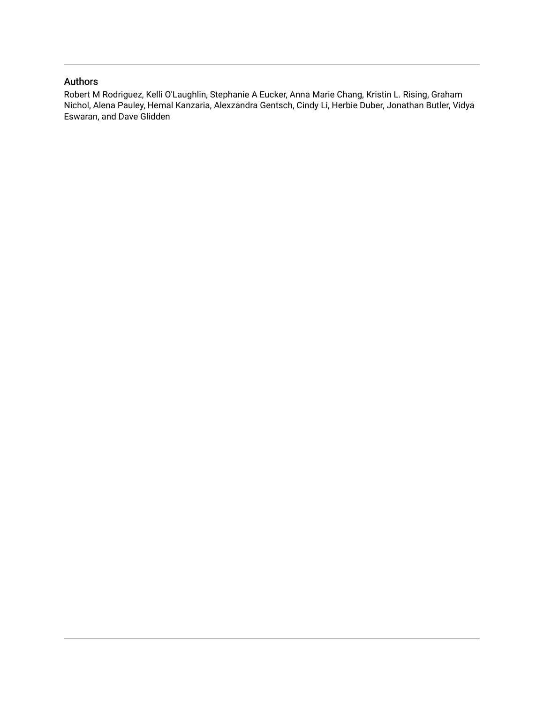# Authors

Robert M Rodriguez, Kelli O'Laughlin, Stephanie A Eucker, Anna Marie Chang, Kristin L. Rising, Graham Nichol, Alena Pauley, Hemal Kanzaria, Alexzandra Gentsch, Cindy Li, Herbie Duber, Jonathan Butler, Vidya Eswaran, and Dave Glidden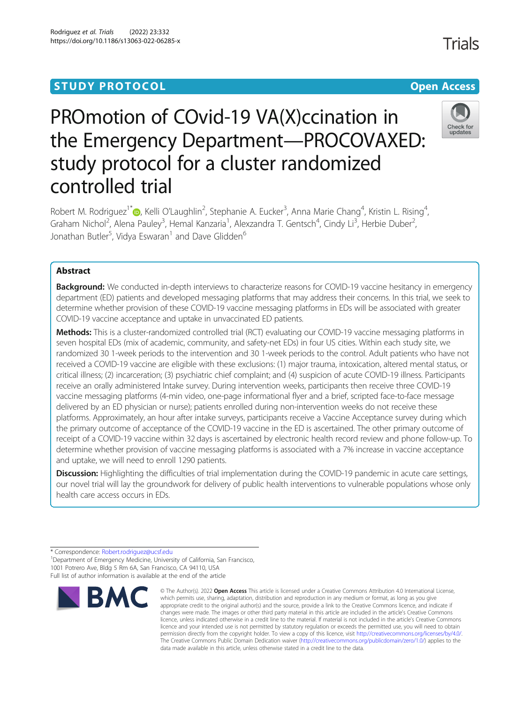# PROmotion of COvid-19 VA(X)ccination in the Emergency Department—PROCOVAXED: study protocol for a cluster randomized controlled trial

Robert M. Rodriguez<sup>1\*</sup> (b[,](http://orcid.org/0000-0003-1354-1773) Kelli O'Laughlin<sup>2</sup>, Stephanie A. Eucker<sup>3</sup>, Anna Marie Chang<sup>4</sup>, Kristin L. Rising<sup>4</sup> , Graham Nichol<sup>2</sup>, Alena Pauley<sup>3</sup>, Hemal Kanzaria<sup>1</sup>, Alexzandra T. Gentsch<sup>4</sup>, Cindy Li<sup>3</sup>, Herbie Duber<sup>2</sup> , Jonathan Butler<sup>5</sup>, Vidya Eswaran<sup>1</sup> and Dave Glidden<sup>6</sup>

# Abstract

Background: We conducted in-depth interviews to characterize reasons for COVID-19 vaccine hesitancy in emergency department (ED) patients and developed messaging platforms that may address their concerns. In this trial, we seek to determine whether provision of these COVID-19 vaccine messaging platforms in EDs will be associated with greater COVID-19 vaccine acceptance and uptake in unvaccinated ED patients.

Methods: This is a cluster-randomized controlled trial (RCT) evaluating our COVID-19 vaccine messaging platforms in seven hospital EDs (mix of academic, community, and safety-net EDs) in four US cities. Within each study site, we randomized 30 1-week periods to the intervention and 30 1-week periods to the control. Adult patients who have not received a COVID-19 vaccine are eligible with these exclusions: (1) major trauma, intoxication, altered mental status, or critical illness; (2) incarceration; (3) psychiatric chief complaint; and (4) suspicion of acute COVID-19 illness. Participants receive an orally administered Intake survey. During intervention weeks, participants then receive three COVID-19 vaccine messaging platforms (4-min video, one-page informational flyer and a brief, scripted face-to-face message delivered by an ED physician or nurse); patients enrolled during non-intervention weeks do not receive these platforms. Approximately, an hour after intake surveys, participants receive a Vaccine Acceptance survey during which the primary outcome of acceptance of the COVID-19 vaccine in the ED is ascertained. The other primary outcome of receipt of a COVID-19 vaccine within 32 days is ascertained by electronic health record review and phone follow-up. To determine whether provision of vaccine messaging platforms is associated with a 7% increase in vaccine acceptance and uptake, we will need to enroll 1290 patients.

Discussion: Highlighting the difficulties of trial implementation during the COVID-19 pandemic in acute care settings, our novel trial will lay the groundwork for delivery of public health interventions to vulnerable populations whose only health care access occurs in EDs.

data made available in this article, unless otherwise stated in a credit line to the data.

© The Author(s), 2022 **Open Access** This article is licensed under a Creative Commons Attribution 4.0 International License, which permits use, sharing, adaptation, distribution and reproduction in any medium or format, as long as you give

\* Correspondence: [Robert.rodriguez@ucsf.edu](mailto:Robert.rodriguez@ucsf.edu) <sup>1</sup>

**BMC** 

<sup>1</sup> Department of Emergency Medicine, University of California, San Francisco, 1001 Potrero Ave, Bldg 5 Rm 6A, San Francisco, CA 94110, USA Full list of author information is available at the end of the article



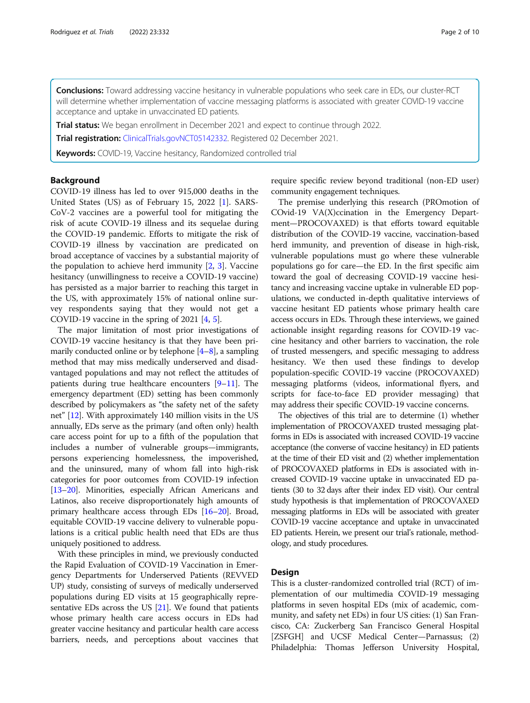Conclusions: Toward addressing vaccine hesitancy in vulnerable populations who seek care in EDs, our cluster-RCT will determine whether implementation of vaccine messaging platforms is associated with greater COVID-19 vaccine acceptance and uptake in unvaccinated ED patients.

Trial status: We began enrollment in December 2021 and expect to continue through 2022.

**Trial registration:** [ClinicalTrials.gov](http://clinicaltrials.gov)[NCT05142332](https://clinicaltrials.gov/ct2/show/NCT05142332). Registered 02 December 2021.

Keywords: COVID-19, Vaccine hesitancy, Randomized controlled trial

# Background

COVID-19 illness has led to over 915,000 deaths in the United States (US) as of February 15, 2022 [\[1](#page-10-0)]. SARS-CoV-2 vaccines are a powerful tool for mitigating the risk of acute COVID-19 illness and its sequelae during the COVID-19 pandemic. Efforts to mitigate the risk of COVID-19 illness by vaccination are predicated on broad acceptance of vaccines by a substantial majority of the population to achieve herd immunity [\[2,](#page-10-0) [3](#page-10-0)]. Vaccine hesitancy (unwillingness to receive a COVID-19 vaccine) has persisted as a major barrier to reaching this target in the US, with approximately 15% of national online survey respondents saying that they would not get a COVID-19 vaccine in the spring of 2021 [\[4](#page-10-0), [5](#page-10-0)].

The major limitation of most prior investigations of COVID-19 vaccine hesitancy is that they have been primarily conducted online or by telephone  $[4-8]$  $[4-8]$  $[4-8]$ , a sampling method that may miss medically underserved and disadvantaged populations and may not reflect the attitudes of patients during true healthcare encounters [\[9](#page-10-0)–[11](#page-11-0)]. The emergency department (ED) setting has been commonly described by policymakers as "the safety net of the safety net" [\[12\]](#page-11-0). With approximately 140 million visits in the US annually, EDs serve as the primary (and often only) health care access point for up to a fifth of the population that includes a number of vulnerable groups—immigrants, persons experiencing homelessness, the impoverished, and the uninsured, many of whom fall into high-risk categories for poor outcomes from COVID-19 infection [[13](#page-11-0)–[20\]](#page-11-0). Minorities, especially African Americans and Latinos, also receive disproportionately high amounts of primary healthcare access through EDs [\[16](#page-11-0)–[20\]](#page-11-0). Broad, equitable COVID-19 vaccine delivery to vulnerable populations is a critical public health need that EDs are thus uniquely positioned to address.

With these principles in mind, we previously conducted the Rapid Evaluation of COVID-19 Vaccination in Emergency Departments for Underserved Patients (REVVED UP) study, consisting of surveys of medically underserved populations during ED visits at 15 geographically representative EDs across the US [\[21\]](#page-11-0). We found that patients whose primary health care access occurs in EDs had greater vaccine hesitancy and particular health care access barriers, needs, and perceptions about vaccines that require specific review beyond traditional (non-ED user) community engagement techniques.

The premise underlying this research (PROmotion of COvid-19 VA(X)ccination in the Emergency Department—PROCOVAXED) is that efforts toward equitable distribution of the COVID-19 vaccine, vaccination-based herd immunity, and prevention of disease in high-risk, vulnerable populations must go where these vulnerable populations go for care—the ED. In the first specific aim toward the goal of decreasing COVID-19 vaccine hesitancy and increasing vaccine uptake in vulnerable ED populations, we conducted in-depth qualitative interviews of vaccine hesitant ED patients whose primary health care access occurs in EDs. Through these interviews, we gained actionable insight regarding reasons for COVID-19 vaccine hesitancy and other barriers to vaccination, the role of trusted messengers, and specific messaging to address hesitancy. We then used these findings to develop population-specific COVID-19 vaccine (PROCOVAXED) messaging platforms (videos, informational flyers, and scripts for face-to-face ED provider messaging) that may address their specific COVID-19 vaccine concerns.

The objectives of this trial are to determine (1) whether implementation of PROCOVAXED trusted messaging platforms in EDs is associated with increased COVID-19 vaccine acceptance (the converse of vaccine hesitancy) in ED patients at the time of their ED visit and (2) whether implementation of PROCOVAXED platforms in EDs is associated with increased COVID-19 vaccine uptake in unvaccinated ED patients (30 to 32 days after their index ED visit). Our central study hypothesis is that implementation of PROCOVAXED messaging platforms in EDs will be associated with greater COVID-19 vaccine acceptance and uptake in unvaccinated ED patients. Herein, we present our trial's rationale, methodology, and study procedures.

# Design

This is a cluster-randomized controlled trial (RCT) of implementation of our multimedia COVID-19 messaging platforms in seven hospital EDs (mix of academic, community, and safety net EDs) in four US cities: (1) San Francisco, CA: Zuckerberg San Francisco General Hospital [ZSFGH] and UCSF Medical Center—Parnassus; (2) Philadelphia: Thomas Jefferson University Hospital,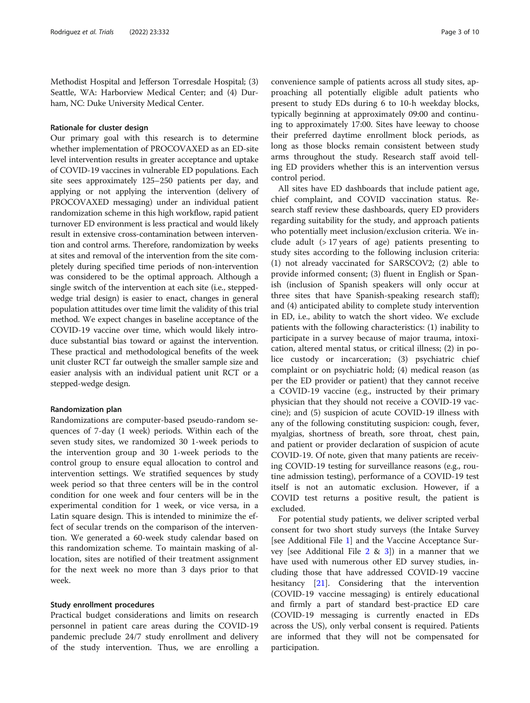Methodist Hospital and Jefferson Torresdale Hospital; (3) Seattle, WA: Harborview Medical Center; and (4) Durham, NC: Duke University Medical Center.

#### Rationale for cluster design

Our primary goal with this research is to determine whether implementation of PROCOVAXED as an ED-site level intervention results in greater acceptance and uptake of COVID-19 vaccines in vulnerable ED populations. Each site sees approximately 125–250 patients per day, and applying or not applying the intervention (delivery of PROCOVAXED messaging) under an individual patient randomization scheme in this high workflow, rapid patient turnover ED environment is less practical and would likely result in extensive cross-contamination between intervention and control arms. Therefore, randomization by weeks at sites and removal of the intervention from the site completely during specified time periods of non-intervention was considered to be the optimal approach. Although a single switch of the intervention at each site (i.e., steppedwedge trial design) is easier to enact, changes in general population attitudes over time limit the validity of this trial method. We expect changes in baseline acceptance of the COVID-19 vaccine over time, which would likely introduce substantial bias toward or against the intervention. These practical and methodological benefits of the week unit cluster RCT far outweigh the smaller sample size and easier analysis with an individual patient unit RCT or a stepped-wedge design.

# Randomization plan

Randomizations are computer-based pseudo-random sequences of 7-day (1 week) periods. Within each of the seven study sites, we randomized 30 1-week periods to the intervention group and 30 1-week periods to the control group to ensure equal allocation to control and intervention settings. We stratified sequences by study week period so that three centers will be in the control condition for one week and four centers will be in the experimental condition for 1 week, or vice versa, in a Latin square design. This is intended to minimize the effect of secular trends on the comparison of the intervention. We generated a 60-week study calendar based on this randomization scheme. To maintain masking of allocation, sites are notified of their treatment assignment for the next week no more than 3 days prior to that week.

# Study enrollment procedures

Practical budget considerations and limits on research personnel in patient care areas during the COVID-19 pandemic preclude 24/7 study enrollment and delivery of the study intervention. Thus, we are enrolling a convenience sample of patients across all study sites, approaching all potentially eligible adult patients who present to study EDs during 6 to 10-h weekday blocks, typically beginning at approximately 09:00 and continuing to approximately 17:00. Sites have leeway to choose their preferred daytime enrollment block periods, as long as those blocks remain consistent between study arms throughout the study. Research staff avoid telling ED providers whether this is an intervention versus control period.

All sites have ED dashboards that include patient age, chief complaint, and COVID vaccination status. Research staff review these dashboards, query ED providers regarding suitability for the study, and approach patients who potentially meet inclusion/exclusion criteria. We include adult (> 17 years of age) patients presenting to study sites according to the following inclusion criteria: (1) not already vaccinated for SARSCOV2; (2) able to provide informed consent; (3) fluent in English or Spanish (inclusion of Spanish speakers will only occur at three sites that have Spanish-speaking research staff); and (4) anticipated ability to complete study intervention in ED, i.e., ability to watch the short video. We exclude patients with the following characteristics: (1) inability to participate in a survey because of major trauma, intoxication, altered mental status, or critical illness; (2) in police custody or incarceration; (3) psychiatric chief complaint or on psychiatric hold; (4) medical reason (as per the ED provider or patient) that they cannot receive a COVID-19 vaccine (e.g., instructed by their primary physician that they should not receive a COVID-19 vaccine); and (5) suspicion of acute COVID-19 illness with any of the following constituting suspicion: cough, fever, myalgias, shortness of breath, sore throat, chest pain, and patient or provider declaration of suspicion of acute COVID-19. Of note, given that many patients are receiving COVID-19 testing for surveillance reasons (e.g., routine admission testing), performance of a COVID-19 test itself is not an automatic exclusion. However, if a COVID test returns a positive result, the patient is excluded.

For potential study patients, we deliver scripted verbal consent for two short study surveys (the Intake Survey [see Additional File [1](#page-10-0)] and the Vaccine Acceptance Survey [see Additional File  $2 \& 3$  $2 \& 3$  $2 \& 3$ ]) in a manner that we have used with numerous other ED survey studies, including those that have addressed COVID-19 vaccine hesitancy [[21](#page-11-0)]. Considering that the intervention (COVID-19 vaccine messaging) is entirely educational and firmly a part of standard best-practice ED care (COVID-19 messaging is currently enacted in EDs across the US), only verbal consent is required. Patients are informed that they will not be compensated for participation.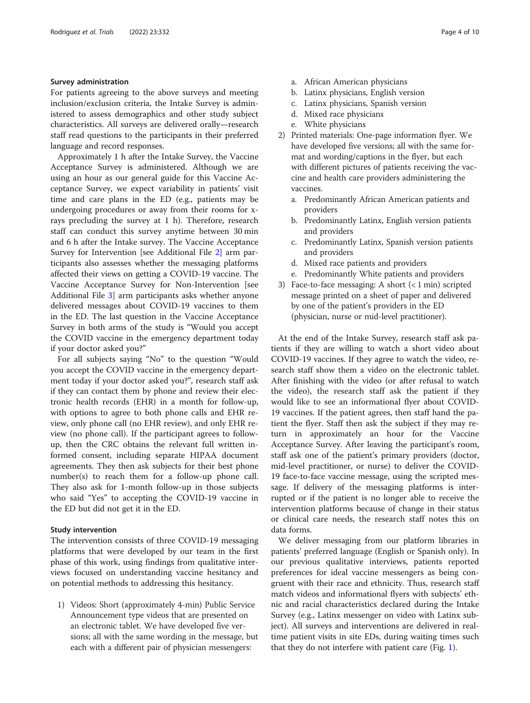# Survey administration

For patients agreeing to the above surveys and meeting inclusion/exclusion criteria, the Intake Survey is administered to assess demographics and other study subject characteristics. All surveys are delivered orally—research staff read questions to the participants in their preferred language and record responses.

Approximately 1 h after the Intake Survey, the Vaccine Acceptance Survey is administered. Although we are using an hour as our general guide for this Vaccine Acceptance Survey, we expect variability in patients' visit time and care plans in the ED (e.g., patients may be undergoing procedures or away from their rooms for xrays precluding the survey at 1 h). Therefore, research staff can conduct this survey anytime between 30 min and 6 h after the Intake survey. The Vaccine Acceptance Survey for Intervention [see Additional File [2\]](#page-10-0) arm participants also assesses whether the messaging platforms affected their views on getting a COVID-19 vaccine. The Vaccine Acceptance Survey for Non-Intervention [see Additional File [3](#page-10-0)] arm participants asks whether anyone delivered messages about COVID-19 vaccines to them in the ED. The last question in the Vaccine Acceptance Survey in both arms of the study is "Would you accept the COVID vaccine in the emergency department today if your doctor asked you?"

For all subjects saying "No" to the question "Would you accept the COVID vaccine in the emergency department today if your doctor asked you?", research staff ask if they can contact them by phone and review their electronic health records (EHR) in a month for follow-up, with options to agree to both phone calls and EHR review, only phone call (no EHR review), and only EHR review (no phone call). If the participant agrees to followup, then the CRC obtains the relevant full written informed consent, including separate HIPAA document agreements. They then ask subjects for their best phone number(s) to reach them for a follow-up phone call. They also ask for 1-month follow-up in those subjects who said "Yes" to accepting the COVID-19 vaccine in the ED but did not get it in the ED.

### Study intervention

The intervention consists of three COVID-19 messaging platforms that were developed by our team in the first phase of this work, using findings from qualitative interviews focused on understanding vaccine hesitancy and on potential methods to addressing this hesitancy.

1) Videos: Short (approximately 4-min) Public Service Announcement type videos that are presented on an electronic tablet. We have developed five versions; all with the same wording in the message, but each with a different pair of physician messengers:

- a. African American physicians
- b. Latinx physicians, English version
- c. Latinx physicians, Spanish version
- d. Mixed race physicians
- e. White physicians
- 2) Printed materials: One-page information flyer. We have developed five versions; all with the same format and wording/captions in the flyer, but each with different pictures of patients receiving the vaccine and health care providers administering the vaccines.
	- a. Predominantly African American patients and providers
	- b. Predominantly Latinx, English version patients and providers
	- c. Predominantly Latinx, Spanish version patients and providers
	- d. Mixed race patients and providers
	- e. Predominantly White patients and providers
- 3) Face-to-face messaging: A short (< 1 min) scripted message printed on a sheet of paper and delivered by one of the patient's providers in the ED (physician, nurse or mid-level practitioner).

At the end of the Intake Survey, research staff ask patients if they are willing to watch a short video about COVID-19 vaccines. If they agree to watch the video, research staff show them a video on the electronic tablet. After finishing with the video (or after refusal to watch the video), the research staff ask the patient if they would like to see an informational flyer about COVID-19 vaccines. If the patient agrees, then staff hand the patient the flyer. Staff then ask the subject if they may return in approximately an hour for the Vaccine Acceptance Survey. After leaving the participant's room, staff ask one of the patient's primary providers (doctor, mid-level practitioner, or nurse) to deliver the COVID-19 face-to-face vaccine message, using the scripted message. If delivery of the messaging platforms is interrupted or if the patient is no longer able to receive the intervention platforms because of change in their status or clinical care needs, the research staff notes this on data forms.

We deliver messaging from our platform libraries in patients' preferred language (English or Spanish only). In our previous qualitative interviews, patients reported preferences for ideal vaccine messengers as being congruent with their race and ethnicity. Thus, research staff match videos and informational flyers with subjects' ethnic and racial characteristics declared during the Intake Survey (e.g., Latinx messenger on video with Latinx subject). All surveys and interventions are delivered in realtime patient visits in site EDs, during waiting times such that they do not interfere with patient care (Fig. [1\)](#page-6-0).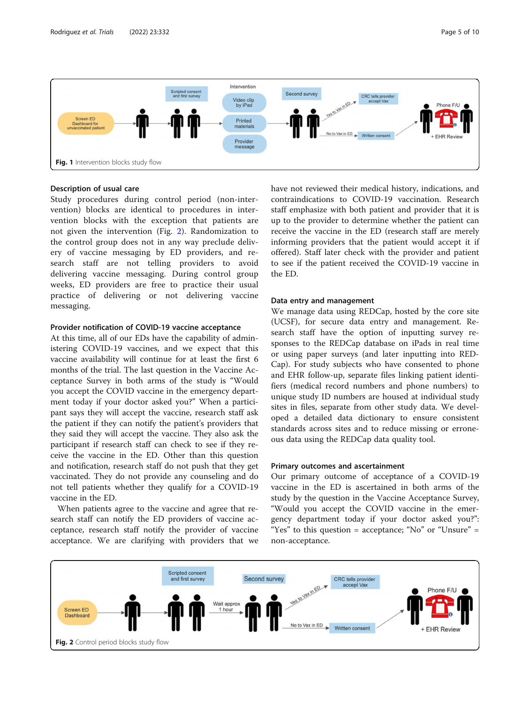<span id="page-6-0"></span>

# Description of usual care

Study procedures during control period (non-intervention) blocks are identical to procedures in intervention blocks with the exception that patients are not given the intervention (Fig. 2). Randomization to the control group does not in any way preclude delivery of vaccine messaging by ED providers, and research staff are not telling providers to avoid delivering vaccine messaging. During control group weeks, ED providers are free to practice their usual practice of delivering or not delivering vaccine messaging.

# Provider notification of COVID-19 vaccine acceptance

At this time, all of our EDs have the capability of administering COVID-19 vaccines, and we expect that this vaccine availability will continue for at least the first 6 months of the trial. The last question in the Vaccine Acceptance Survey in both arms of the study is "Would you accept the COVID vaccine in the emergency department today if your doctor asked you?" When a participant says they will accept the vaccine, research staff ask the patient if they can notify the patient's providers that they said they will accept the vaccine. They also ask the participant if research staff can check to see if they receive the vaccine in the ED. Other than this question and notification, research staff do not push that they get vaccinated. They do not provide any counseling and do not tell patients whether they qualify for a COVID-19 vaccine in the ED.

When patients agree to the vaccine and agree that research staff can notify the ED providers of vaccine acceptance, research staff notify the provider of vaccine acceptance. We are clarifying with providers that we have not reviewed their medical history, indications, and contraindications to COVID-19 vaccination. Research staff emphasize with both patient and provider that it is up to the provider to determine whether the patient can receive the vaccine in the ED (research staff are merely informing providers that the patient would accept it if offered). Staff later check with the provider and patient to see if the patient received the COVID-19 vaccine in the ED.

# Data entry and management

We manage data using REDCap, hosted by the core site (UCSF), for secure data entry and management. Research staff have the option of inputting survey responses to the REDCap database on iPads in real time or using paper surveys (and later inputting into RED-Cap). For study subjects who have consented to phone and EHR follow-up, separate files linking patient identifiers (medical record numbers and phone numbers) to unique study ID numbers are housed at individual study sites in files, separate from other study data. We developed a detailed data dictionary to ensure consistent standards across sites and to reduce missing or erroneous data using the REDCap data quality tool.

### Primary outcomes and ascertainment

Our primary outcome of acceptance of a COVID-19 vaccine in the ED is ascertained in both arms of the study by the question in the Vaccine Acceptance Survey, "Would you accept the COVID vaccine in the emergency department today if your doctor asked you?": "Yes" to this question = acceptance; "No" or "Unsure" = non-acceptance.

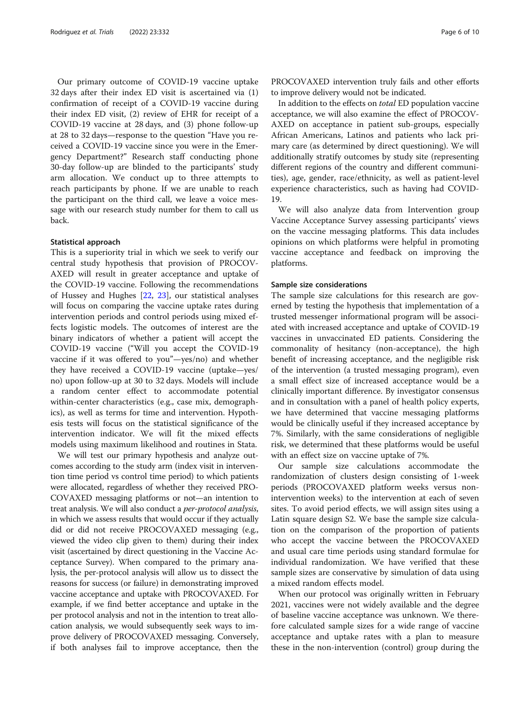Our primary outcome of COVID-19 vaccine uptake 32 days after their index ED visit is ascertained via (1) confirmation of receipt of a COVID-19 vaccine during their index ED visit, (2) review of EHR for receipt of a COVID-19 vaccine at 28 days, and (3) phone follow-up at 28 to 32 days—response to the question "Have you received a COVID-19 vaccine since you were in the Emergency Department?" Research staff conducting phone 30-day follow-up are blinded to the participants' study arm allocation. We conduct up to three attempts to reach participants by phone. If we are unable to reach the participant on the third call, we leave a voice message with our research study number for them to call us back.

### Statistical approach

This is a superiority trial in which we seek to verify our central study hypothesis that provision of PROCOV-AXED will result in greater acceptance and uptake of the COVID-19 vaccine. Following the recommendations of Hussey and Hughes [[22,](#page-11-0) [23\]](#page-11-0), our statistical analyses will focus on comparing the vaccine uptake rates during intervention periods and control periods using mixed effects logistic models. The outcomes of interest are the binary indicators of whether a patient will accept the COVID-19 vaccine ("Will you accept the COVID-19 vaccine if it was offered to you"—yes/no) and whether they have received a COVID-19 vaccine (uptake—yes/ no) upon follow-up at 30 to 32 days. Models will include a random center effect to accommodate potential within-center characteristics (e.g., case mix, demographics), as well as terms for time and intervention. Hypothesis tests will focus on the statistical significance of the intervention indicator. We will fit the mixed effects models using maximum likelihood and routines in Stata.

We will test our primary hypothesis and analyze outcomes according to the study arm (index visit in intervention time period vs control time period) to which patients were allocated, regardless of whether they received PRO-COVAXED messaging platforms or not—an intention to treat analysis. We will also conduct a per-protocol analysis, in which we assess results that would occur if they actually did or did not receive PROCOVAXED messaging (e.g., viewed the video clip given to them) during their index visit (ascertained by direct questioning in the Vaccine Acceptance Survey). When compared to the primary analysis, the per-protocol analysis will allow us to dissect the reasons for success (or failure) in demonstrating improved vaccine acceptance and uptake with PROCOVAXED. For example, if we find better acceptance and uptake in the per protocol analysis and not in the intention to treat allocation analysis, we would subsequently seek ways to improve delivery of PROCOVAXED messaging. Conversely, if both analyses fail to improve acceptance, then the

PROCOVAXED intervention truly fails and other efforts to improve delivery would not be indicated.

In addition to the effects on total ED population vaccine acceptance, we will also examine the effect of PROCOV-AXED on acceptance in patient sub-groups, especially African Americans, Latinos and patients who lack primary care (as determined by direct questioning). We will additionally stratify outcomes by study site (representing different regions of the country and different communities), age, gender, race/ethnicity, as well as patient-level experience characteristics, such as having had COVID-19.

We will also analyze data from Intervention group Vaccine Acceptance Survey assessing participants' views on the vaccine messaging platforms. This data includes opinions on which platforms were helpful in promoting vaccine acceptance and feedback on improving the platforms.

# Sample size considerations

The sample size calculations for this research are governed by testing the hypothesis that implementation of a trusted messenger informational program will be associated with increased acceptance and uptake of COVID-19 vaccines in unvaccinated ED patients. Considering the commonality of hesitancy (non-acceptance), the high benefit of increasing acceptance, and the negligible risk of the intervention (a trusted messaging program), even a small effect size of increased acceptance would be a clinically important difference. By investigator consensus and in consultation with a panel of health policy experts, we have determined that vaccine messaging platforms would be clinically useful if they increased acceptance by 7%. Similarly, with the same considerations of negligible risk, we determined that these platforms would be useful with an effect size on vaccine uptake of 7%.

Our sample size calculations accommodate the randomization of clusters design consisting of 1-week periods (PROCOVAXED platform weeks versus nonintervention weeks) to the intervention at each of seven sites. To avoid period effects, we will assign sites using a Latin square design S2. We base the sample size calculation on the comparison of the proportion of patients who accept the vaccine between the PROCOVAXED and usual care time periods using standard formulae for individual randomization. We have verified that these sample sizes are conservative by simulation of data using a mixed random effects model.

When our protocol was originally written in February 2021, vaccines were not widely available and the degree of baseline vaccine acceptance was unknown. We therefore calculated sample sizes for a wide range of vaccine acceptance and uptake rates with a plan to measure these in the non-intervention (control) group during the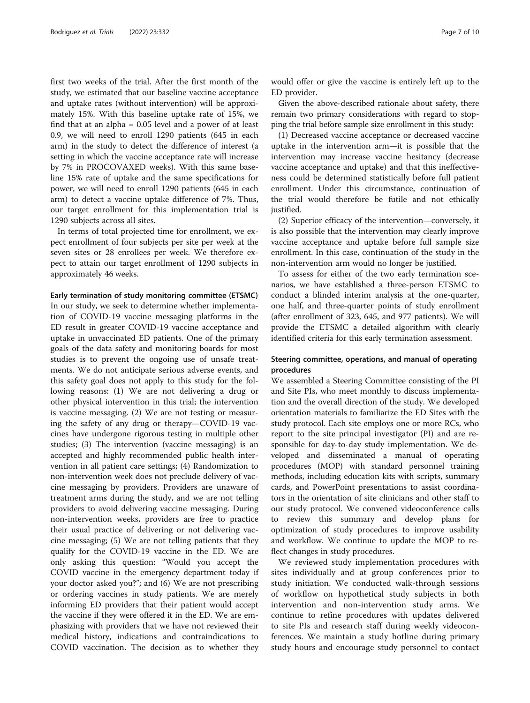first two weeks of the trial. After the first month of the study, we estimated that our baseline vaccine acceptance and uptake rates (without intervention) will be approximately 15%. With this baseline uptake rate of 15%, we find that at an alpha = 0.05 level and a power of at least 0.9, we will need to enroll 1290 patients (645 in each arm) in the study to detect the difference of interest (a setting in which the vaccine acceptance rate will increase by 7% in PROCOVAXED weeks). With this same baseline 15% rate of uptake and the same specifications for power, we will need to enroll 1290 patients (645 in each arm) to detect a vaccine uptake difference of 7%. Thus, our target enrollment for this implementation trial is 1290 subjects across all sites.

In terms of total projected time for enrollment, we expect enrollment of four subjects per site per week at the seven sites or 28 enrollees per week. We therefore expect to attain our target enrollment of 1290 subjects in approximately 46 weeks.

Early termination of study monitoring committee (ETSMC)

In our study, we seek to determine whether implementation of COVID-19 vaccine messaging platforms in the ED result in greater COVID-19 vaccine acceptance and uptake in unvaccinated ED patients. One of the primary goals of the data safety and monitoring boards for most studies is to prevent the ongoing use of unsafe treatments. We do not anticipate serious adverse events, and this safety goal does not apply to this study for the following reasons: (1) We are not delivering a drug or other physical intervention in this trial; the intervention is vaccine messaging. (2) We are not testing or measuring the safety of any drug or therapy—COVID-19 vaccines have undergone rigorous testing in multiple other studies; (3) The intervention (vaccine messaging) is an accepted and highly recommended public health intervention in all patient care settings; (4) Randomization to non-intervention week does not preclude delivery of vaccine messaging by providers. Providers are unaware of treatment arms during the study, and we are not telling providers to avoid delivering vaccine messaging. During non-intervention weeks, providers are free to practice their usual practice of delivering or not delivering vaccine messaging; (5) We are not telling patients that they qualify for the COVID-19 vaccine in the ED. We are only asking this question: "Would you accept the COVID vaccine in the emergency department today if your doctor asked you?"; and (6) We are not prescribing or ordering vaccines in study patients. We are merely informing ED providers that their patient would accept the vaccine if they were offered it in the ED. We are emphasizing with providers that we have not reviewed their medical history, indications and contraindications to COVID vaccination. The decision as to whether they

would offer or give the vaccine is entirely left up to the ED provider.

Given the above-described rationale about safety, there remain two primary considerations with regard to stopping the trial before sample size enrollment in this study:

(1) Decreased vaccine acceptance or decreased vaccine uptake in the intervention arm—it is possible that the intervention may increase vaccine hesitancy (decrease vaccine acceptance and uptake) and that this ineffectiveness could be determined statistically before full patient enrollment. Under this circumstance, continuation of the trial would therefore be futile and not ethically justified.

(2) Superior efficacy of the intervention—conversely, it is also possible that the intervention may clearly improve vaccine acceptance and uptake before full sample size enrollment. In this case, continuation of the study in the non-intervention arm would no longer be justified.

To assess for either of the two early termination scenarios, we have established a three-person ETSMC to conduct a blinded interim analysis at the one-quarter, one half, and three-quarter points of study enrollment (after enrollment of 323, 645, and 977 patients). We will provide the ETSMC a detailed algorithm with clearly identified criteria for this early termination assessment.

# Steering committee, operations, and manual of operating procedures

We assembled a Steering Committee consisting of the PI and Site PIs, who meet monthly to discuss implementation and the overall direction of the study. We developed orientation materials to familiarize the ED Sites with the study protocol. Each site employs one or more RCs, who report to the site principal investigator (PI) and are responsible for day-to-day study implementation. We developed and disseminated a manual of operating procedures (MOP) with standard personnel training methods, including education kits with scripts, summary cards, and PowerPoint presentations to assist coordinators in the orientation of site clinicians and other staff to our study protocol. We convened videoconference calls to review this summary and develop plans for optimization of study procedures to improve usability and workflow. We continue to update the MOP to reflect changes in study procedures.

We reviewed study implementation procedures with sites individually and at group conferences prior to study initiation. We conducted walk-through sessions of workflow on hypothetical study subjects in both intervention and non-intervention study arms. We continue to refine procedures with updates delivered to site PIs and research staff during weekly videoconferences. We maintain a study hotline during primary study hours and encourage study personnel to contact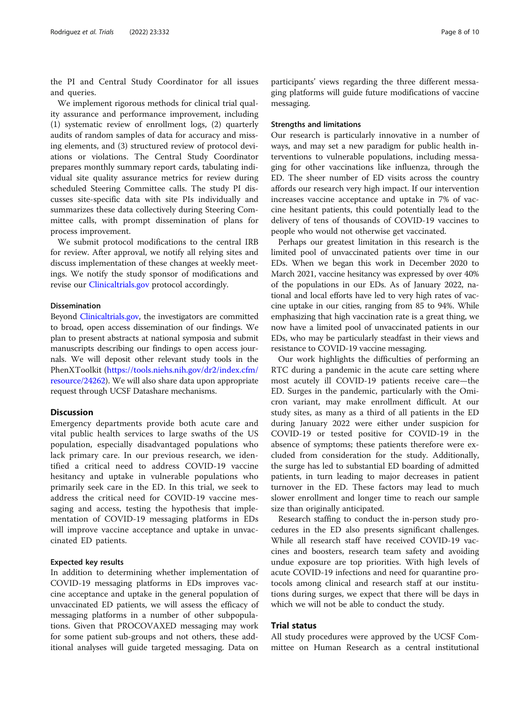the PI and Central Study Coordinator for all issues and queries.

We implement rigorous methods for clinical trial quality assurance and performance improvement, including (1) systematic review of enrollment logs, (2) quarterly audits of random samples of data for accuracy and missing elements, and (3) structured review of protocol deviations or violations. The Central Study Coordinator prepares monthly summary report cards, tabulating individual site quality assurance metrics for review during scheduled Steering Committee calls. The study PI discusses site-specific data with site PIs individually and summarizes these data collectively during Steering Committee calls, with prompt dissemination of plans for process improvement.

We submit protocol modifications to the central IRB for review. After approval, we notify all relying sites and discuss implementation of these changes at weekly meetings. We notify the study sponsor of modifications and revise our [Clinicaltrials.gov](http://clinicaltrials.gov) protocol accordingly.

### Dissemination

Beyond [Clinicaltrials.gov](http://clinicaltrials.gov), the investigators are committed to broad, open access dissemination of our findings. We plan to present abstracts at national symposia and submit manuscripts describing our findings to open access journals. We will deposit other relevant study tools in the PhenXToolkit [\(https://tools.niehs.nih.gov/dr2/index.cfm/](https://tools.niehs.nih.gov/dr2/index.cfm/resource/24262) [resource/24262](https://tools.niehs.nih.gov/dr2/index.cfm/resource/24262)). We will also share data upon appropriate request through UCSF Datashare mechanisms.

# **Discussion**

Emergency departments provide both acute care and vital public health services to large swaths of the US population, especially disadvantaged populations who lack primary care. In our previous research, we identified a critical need to address COVID-19 vaccine hesitancy and uptake in vulnerable populations who primarily seek care in the ED. In this trial, we seek to address the critical need for COVID-19 vaccine messaging and access, testing the hypothesis that implementation of COVID-19 messaging platforms in EDs will improve vaccine acceptance and uptake in unvaccinated ED patients.

# Expected key results

In addition to determining whether implementation of COVID-19 messaging platforms in EDs improves vaccine acceptance and uptake in the general population of unvaccinated ED patients, we will assess the efficacy of messaging platforms in a number of other subpopulations. Given that PROCOVAXED messaging may work for some patient sub-groups and not others, these additional analyses will guide targeted messaging. Data on

participants' views regarding the three different messaging platforms will guide future modifications of vaccine messaging.

# Strengths and limitations

Our research is particularly innovative in a number of ways, and may set a new paradigm for public health interventions to vulnerable populations, including messaging for other vaccinations like influenza, through the ED. The sheer number of ED visits across the country affords our research very high impact. If our intervention increases vaccine acceptance and uptake in 7% of vaccine hesitant patients, this could potentially lead to the delivery of tens of thousands of COVID-19 vaccines to people who would not otherwise get vaccinated.

Perhaps our greatest limitation in this research is the limited pool of unvaccinated patients over time in our EDs. When we began this work in December 2020 to March 2021, vaccine hesitancy was expressed by over 40% of the populations in our EDs. As of January 2022, national and local efforts have led to very high rates of vaccine uptake in our cities, ranging from 85 to 94%. While emphasizing that high vaccination rate is a great thing, we now have a limited pool of unvaccinated patients in our EDs, who may be particularly steadfast in their views and resistance to COVID-19 vaccine messaging.

Our work highlights the difficulties of performing an RTC during a pandemic in the acute care setting where most acutely ill COVID-19 patients receive care—the ED. Surges in the pandemic, particularly with the Omicron variant, may make enrollment difficult. At our study sites, as many as a third of all patients in the ED during January 2022 were either under suspicion for COVID-19 or tested positive for COVID-19 in the absence of symptoms; these patients therefore were excluded from consideration for the study. Additionally, the surge has led to substantial ED boarding of admitted patients, in turn leading to major decreases in patient turnover in the ED. These factors may lead to much slower enrollment and longer time to reach our sample size than originally anticipated.

Research staffing to conduct the in-person study procedures in the ED also presents significant challenges. While all research staff have received COVID-19 vaccines and boosters, research team safety and avoiding undue exposure are top priorities. With high levels of acute COVID-19 infections and need for quarantine protocols among clinical and research staff at our institutions during surges, we expect that there will be days in which we will not be able to conduct the study.

# Trial status

All study procedures were approved by the UCSF Committee on Human Research as a central institutional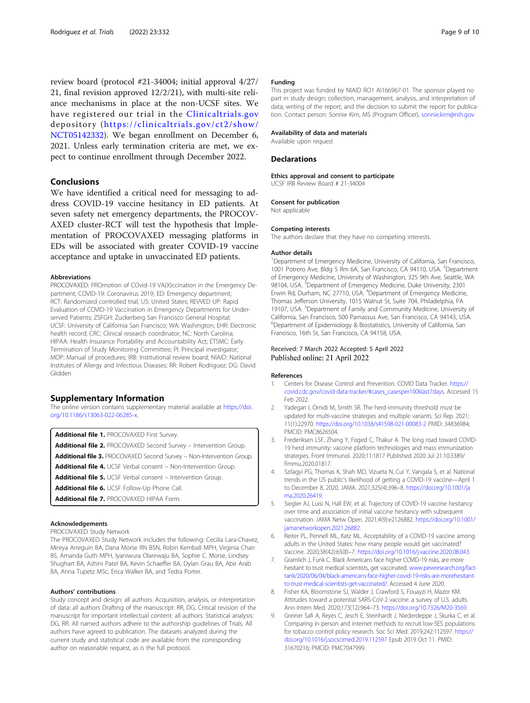<span id="page-10-0"></span>review board (protocol #21-34004; initial approval 4/27/ 21, final revision approved 12/2/21), with multi-site reliance mechanisms in place at the non-UCSF sites. We have registered our trial in the [Clinicaltrials.gov](http://clinicaltrials.gov) depository ([https://clinicaltrials.gov/ct2/show/](https://clinicaltrials.gov/ct2/show/NCT05142332) [NCT05142332\)](https://clinicaltrials.gov/ct2/show/NCT05142332). We began enrollment on December 6, 2021. Unless early termination criteria are met, we expect to continue enrollment through December 2022.

# Conclusions

We have identified a critical need for messaging to address COVID-19 vaccine hesitancy in ED patients. At seven safety net emergency departments, the PROCOV-AXED cluster-RCT will test the hypothesis that Implementation of PROCOVAXED messaging platforms in EDs will be associated with greater COVID-19 vaccine acceptance and uptake in unvaccinated ED patients.

#### Abbreviations

PROCOVAXED: PROmotion of COvid-19 VA(X)ccination in the Emergency Department; COVID-19: Coronavirus 2019; ED: Emergency department; RCT: Randomized controlled trial; US: United States; REVVED UP: Rapid Evaluation of COVID-19 Vaccination in Emergency Departments for Underserved Patients; ZSFGH: Zuckerberg San Francisco General Hospital; UCSF: University of California San Francisco; WA: Washington; EHR: Electronic health record; CRC: Clinical research coordinator; NC: North Carolina; HIPAA: Health Insurance Portability and Accountability Act; ETSMC: Early Termination of Study Monitoring Committee; PI: Principal investigator; MOP: Manual of procedures; IRB: Institutional review board; NIAID: National Institutes of Allergy and Infectious Diseases; RR: Robert Rodriguez; DG: David Glidden

#### Supplementary Information

The online version contains supplementary material available at [https://doi.](https://doi.org/10.1186/s13063-022-06285-x) [org/10.1186/s13063-022-06285-x](https://doi.org/10.1186/s13063-022-06285-x).

Additional file 1. PROCOVAXED First Survey.

Additional file 2. PROCOVAXED Second Survey - Intervention Group.

Additional file 3. PROCOVAXED Second Survey - Non-Intervention Group.

Additional file 4. UCSF Verbal consent - Non-Intervention Group.

Additional file 5. UCSF Verbal consent - Intervention Group.

Additional file 6. UCSF Follow-Up Phone Call.

Additional file 7. PROCOVAXED HIPAA Form.

#### Acknowledgements

PROCOVAXED Study Network

The PROCOVAXED Study Network includes the following: Cecilia Lara-Chavez, Mireya Arreguin BA, Dana Morse RN BSN, Robin Kemball MPH, Virginia Chan BS, Amanda Guth MPH, Iyaniwura Olarewaju BA, Sophie C. Morse, Lindsey Shughart BA, Ashini Patel BA, Kevin Schaeffer BA, Dylan Grau BA, Abir Arab BA, Anna Tupetz MSc, Erica Walker BA, and Tedra Porter.

#### Authors' contributions

Study concept and design: all authors. Acquisition, analysis, or interpretation of data: all authors Drafting of the manuscript: RR, DG. Critical revision of the manuscript for important intellectual content: all authors. Statistical analysis: DG, RR. All named authors adhere to the authorship guidelines of Trials. All authors have agreed to publication. The datasets analyzed during the current study and statistical code are available from the corresponding author on reasonable request, as is the full protocol.

#### Funding

This project was funded by NIAID RO1 AI166967-01. The sponsor played no part in study design; collection, management, analysis, and interpretation of data; writing of the report; and the decision to submit the report for publication. Contact person: Sonnie Kim, MS (Program Officer), [sonnie.kim@nih.gov](mailto:sonnie.kim@nih.gov)

#### Availability of data and materials

Available upon request

# **Declarations**

Ethics approval and consent to participate UCSF IRB Review Board # 21-34004

#### Consent for publication

Not applicable

#### Competing interests

The authors declare that they have no competing interests.

#### Author details

<sup>1</sup>Department of Emergency Medicine, University of California, San Francisco, 1001 Potrero Ave, Bldg 5 Rm 6A, San Francisco, CA 94110, USA. <sup>2</sup> Department of Emergency Medicine, University of Washington, 325 9th Ave, Seattle, WA 98104, USA. <sup>3</sup>Department of Emergency Medicine, Duke University, 2301 Erwin Rd, Durham, NC 27710, USA. <sup>4</sup>Department of Emergency Medicine Thomas Jefferson University, 1015 Walnut St, Suite 704, Philadelphia, PA 19107, USA. <sup>5</sup>Department of Family and Community Medicine, University of California, San Francisco, 500 Parnassus Ave, San Francisco, CA 94143, USA. <sup>6</sup>Department of Epidemiology & Biostatistics, University of California, San Francisco, 16th St, San Francisco, CA 94158, USA.

# Received: 7 March 2022 Accepted: 5 April 2022 Published online: 21 April 2022

#### References

- 1. Centers for Disease Control and Prevention. COVID Data Tracker. [https://](https://covid.cdc.gov/covid-data-tracker/#cases_casesper100klast7days) [covid.cdc.gov/covid-data-tracker/#cases\\_casesper100klast7days](https://covid.cdc.gov/covid-data-tracker/#cases_casesper100klast7days). Accessed 15 Feb 2022.
- Yadegari I, Omidi M, Smith SR. The herd-immunity threshold must be updated for multi-vaccine strategies and multiple variants. Sci Rep. 2021; 11(1):22970. <https://doi.org/10.1038/s41598-021-00083-2> PMID: 34836984; PMCID: PMC8626504.
- 3. Frederiksen LSF, Zhang Y, Foged C, Thakur A. The long road toward COVID-19 herd immunity: vaccine platform technologies and mass immunization strategies. Front Immunol. 2020;11:1817 Published 2020 Jul 21.10.3389/ fimmu.2020.01817.
- 4. Szilagyi PG, Thomas K, Shah MD, Vizueta N, Cui Y, Vangala S, et al. National trends in the US public's likelihood of getting a COVID-19 vaccine—April 1 to December 8, 2020. JAMA. 2021;325(4):396–8. [https://doi.org/10.1001/ja](https://doi.org/10.1001/jama.2020.26419) [ma.2020.26419.](https://doi.org/10.1001/jama.2020.26419)
- 5. Siegler AJ, Luisi N, Hall EW, et al. Trajectory of COVID-19 vaccine hesitancy over time and association of initial vaccine hesitancy with subsequent vaccination. JAMA Netw Open. 2021;4(9):e2126882. [https://doi.org/10.1001/](https://doi.org/10.1001/jamanetworkopen.2021.26882) [jamanetworkopen.2021.26882.](https://doi.org/10.1001/jamanetworkopen.2021.26882)
- 6. Reiter PL, Pennell ML, Katz ML. Acceptability of a COVID-19 vaccine among adults in the United States: how many people would get vaccinated? Vaccine. 2020;38(42):6500–7. <https://doi.org/10.1016/j.vaccine.2020.08.043>.
- 7. Gramlich J, Funk C. Black Americans face higher COVID-19 risks, are more hesitant to trust medical scientists, get vaccinated. [www.pewresearch.org/fact](http://www.pewresearch.org/fact-tank/2020/06/04/black-americans-face-higher-covid-19-risks-are-morehesitant-to-trust-medical-scientists-get-vaccinated/)[tank/2020/06/04/black-americans-face-higher-covid-19-risks-are-morehesitant](http://www.pewresearch.org/fact-tank/2020/06/04/black-americans-face-higher-covid-19-risks-are-morehesitant-to-trust-medical-scientists-get-vaccinated/)[to-trust-medical-scientists-get-vaccinated/.](http://www.pewresearch.org/fact-tank/2020/06/04/black-americans-face-higher-covid-19-risks-are-morehesitant-to-trust-medical-scientists-get-vaccinated/) Accessed 4 June 2020.
- 8. Fisher KA, Bloomstone SJ, Walder J, Crawford S, Fouayzi H, Mazor KM. Attitudes toward a potential SARS-CoV-2 vaccine: a survey of U.S. adults. Ann Intern Med. 2020;173(12):964–73. [https://doi.org/10.7326/M20-3569.](https://doi.org/10.7326/M20-3569)
- 9. Greiner Safi A, Reyes C, Jesch E, Steinhardt J, Niederdeppe J, Skurka C, et al. Comparing in person and internet methods to recruit low-SES populations for tobacco control policy research. Soc Sci Med. 2019;242:112597. [https://](https://doi.org/10.1016/j.socscimed.2019.112597) [doi.org/10.1016/j.socscimed.2019.112597](https://doi.org/10.1016/j.socscimed.2019.112597) Epub 2019 Oct 11. PMID: 31670216; PMCID: PMC7047999.